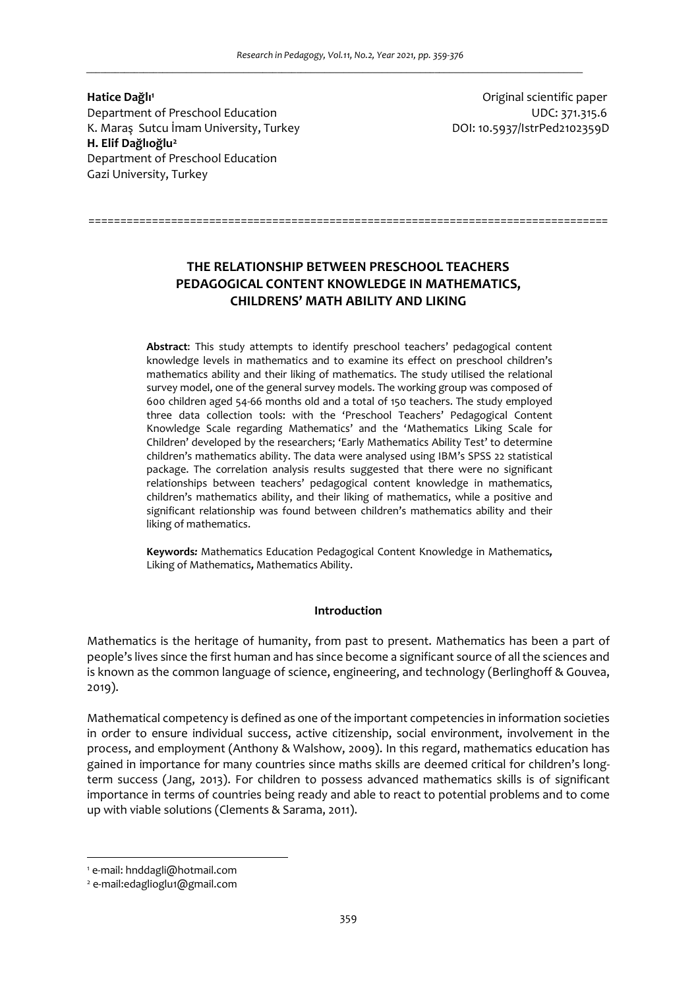**Hatice Dağlı<sup>1</sup>** Department of Preschool Education UDC: 371.315.6 K. Maraş Sutcu İmam University, Turkey Norton Suttembury, DOI: 10.5937/IstrPed2102359D **H. Elif Dağlıoğlu<sup>2</sup>** Department of Preschool Education Gazi University, Turkey

Original scientific paper

# **THE RELATIONSHIP BETWEEN PRESCHOOL TEACHERS PEDAGOGICAL CONTENT KNOWLEDGE IN MATHEMATICS, CHILDRENS' MATH ABILITY AND LIKING**

==================================================================================

**Abstract**: This study attempts to identify preschool teachers' pedagogical content knowledge levels in mathematics and to examine its effect on preschool children's mathematics ability and their liking of mathematics. The study utilised the relational survey model, one of the general survey models. The working group was composed of 600 children aged 54-66 months old and a total of 150 teachers. The study employed three data collection tools: with the 'Preschool Teachers' Pedagogical Content Knowledge Scale regarding Mathematics' and the 'Mathematics Liking Scale for Children' developed by the researchers; 'Early Mathematics Ability Test' to determine children's mathematics ability. The data were analysed using IBM's SPSS 22 statistical package. The correlation analysis results suggested that there were no significant relationships between teachers' pedagogical content knowledge in mathematics, children's mathematics ability, and their liking of mathematics, while a positive and significant relationship was found between children's mathematics ability and their liking of mathematics.

**Keywords***:* Mathematics Education Pedagogical Content Knowledge in Mathematics*,*  Liking of Mathematics*,* Mathematics Ability.

## **Introduction**

Mathematics is the heritage of humanity, from past to present. Mathematics has been a part of people's lives since the first human and has since become a significant source of all the sciences and is known as the common language of science, engineering, and technology (Berlinghoff & Gouvea, 2019).

Mathematical competency is defined as one of the important competencies in information societies in order to ensure individual success, active citizenship, social environment, involvement in the process, and employment (Anthony & Walshow, 2009). In this regard, mathematics education has gained in importance for many countries since maths skills are deemed critical for children's longterm success (Jang, 2013). For children to possess advanced mathematics skills is of significant importance in terms of countries being ready and able to react to potential problems and to come up with viable solutions (Clements & Sarama, 2011).

<sup>1</sup> e-mail: hnddagli@hotmail.com

<sup>2</sup> e-mail:edaglioglu1@gmail.com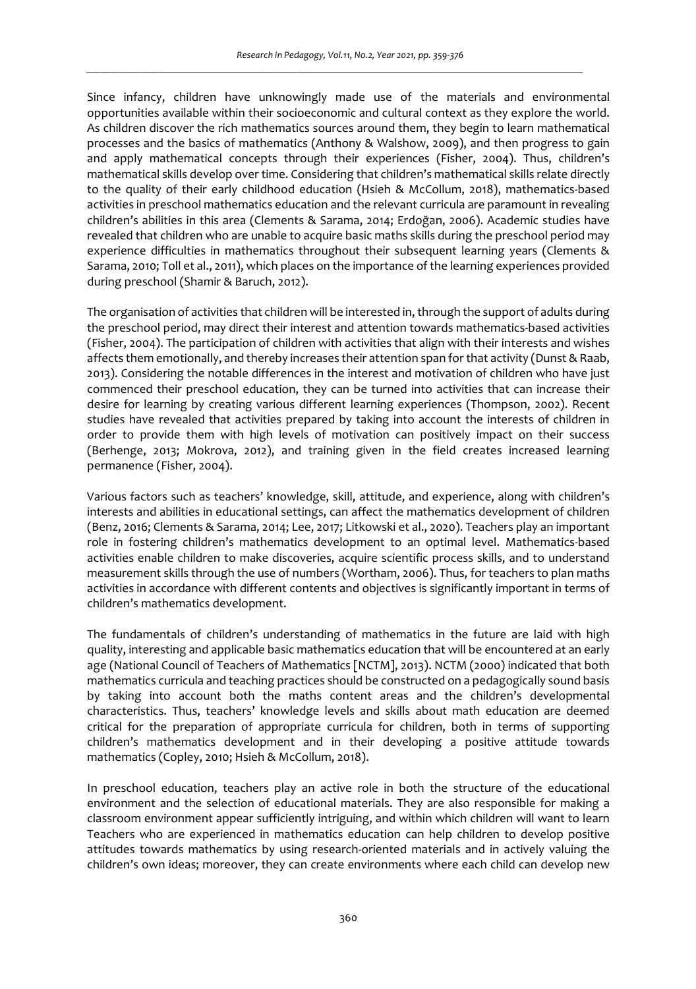Since infancy, children have unknowingly made use of the materials and environmental opportunities available within their socioeconomic and cultural context as they explore the world. As children discover the rich mathematics sources around them, they begin to learn mathematical processes and the basics of mathematics (Anthony & Walshow, 2009), and then progress to gain and apply mathematical concepts through their experiences (Fisher, 2004). Thus, children's mathematical skills develop over time. Considering that children's mathematical skills relate directly to the quality of their early childhood education (Hsieh & McCollum, 2018), mathematics-based activities in preschool mathematics education and the relevant curricula are paramount in revealing children's abilities in this area (Clements & Sarama, 2014; Erdoğan, 2006). Academic studies have revealed that children who are unable to acquire basic maths skills during the preschool period may experience difficulties in mathematics throughout their subsequent learning years (Clements & Sarama, 2010; Toll et al., 2011), which places on the importance of the learning experiences provided during preschool (Shamir & Baruch, 2012).

The organisation of activities that children will be interested in, through the support of adults during the preschool period, may direct their interest and attention towards mathematics-based activities (Fisher, 2004). The participation of children with activities that align with their interests and wishes affects them emotionally, and thereby increases their attention span for that activity (Dunst & Raab, 2013). Considering the notable differences in the interest and motivation of children who have just commenced their preschool education, they can be turned into activities that can increase their desire for learning by creating various different learning experiences (Thompson, 2002). Recent studies have revealed that activities prepared by taking into account the interests of children in order to provide them with high levels of motivation can positively impact on their success (Berhenge, 2013; Mokrova, 2012), and training given in the field creates increased learning permanence (Fisher, 2004).

Various factors such as teachers' knowledge, skill, attitude, and experience, along with children's interests and abilities in educational settings, can affect the mathematics development of children (Benz, 2016; Clements & Sarama, 2014; Lee, 2017; Litkowski et al., 2020). Teachers play an important role in fostering children's mathematics development to an optimal level. Mathematics-based activities enable children to make discoveries, acquire scientific process skills, and to understand measurement skills through the use of numbers (Wortham, 2006). Thus, for teachers to plan maths activities in accordance with different contents and objectives is significantly important in terms of children's mathematics development.

The fundamentals of children's understanding of mathematics in the future are laid with high quality, interesting and applicable basic mathematics education that will be encountered at an early age (National Council of Teachers of Mathematics [NCTM], 2013). NCTM (2000) indicated that both mathematics curricula and teaching practices should be constructed on a pedagogically sound basis by taking into account both the maths content areas and the children's developmental characteristics. Thus, teachers' knowledge levels and skills about math education are deemed critical for the preparation of appropriate curricula for children, both in terms of supporting children's mathematics development and in their developing a positive attitude towards mathematics (Copley, 2010; Hsieh & McCollum, 2018).

In preschool education, teachers play an active role in both the structure of the educational environment and the selection of educational materials. They are also responsible for making a classroom environment appear sufficiently intriguing, and within which children will want to learn Teachers who are experienced in mathematics education can help children to develop positive attitudes towards mathematics by using research-oriented materials and in actively valuing the children's own ideas; moreover, they can create environments where each child can develop new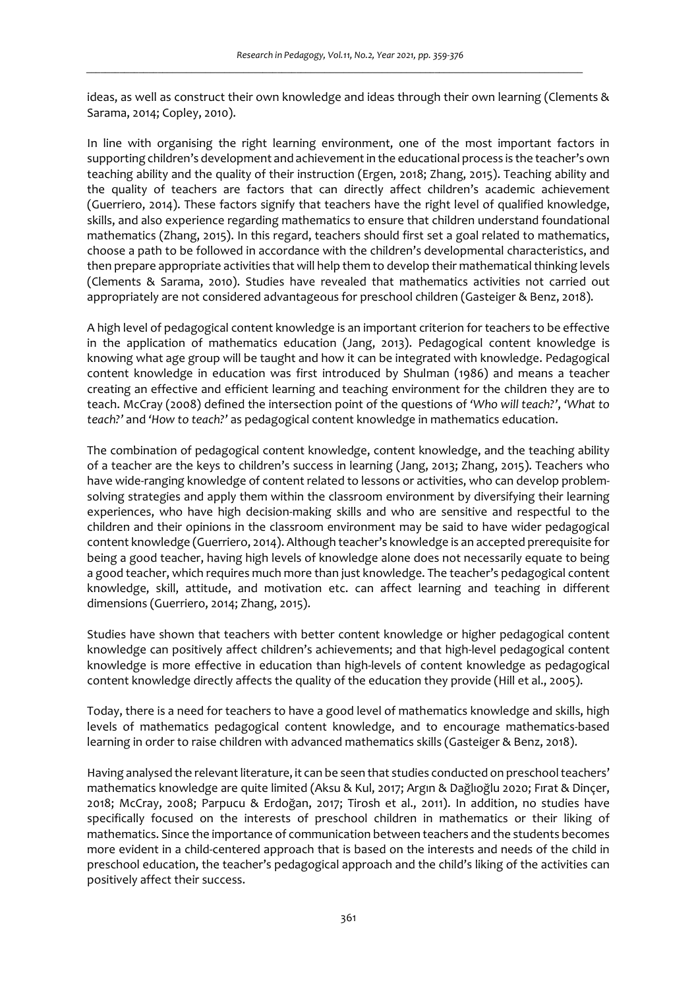ideas, as well as construct their own knowledge and ideas through their own learning (Clements & Sarama, 2014; Copley, 2010).

In line with organising the right learning environment, one of the most important factors in supporting children's development and achievement in the educational process is the teacher's own teaching ability and the quality of their instruction (Ergen, 2018; Zhang, 2015). Teaching ability and the quality of teachers are factors that can directly affect children's academic achievement (Guerriero, 2014). These factors signify that teachers have the right level of qualified knowledge, skills, and also experience regarding mathematics to ensure that children understand foundational mathematics (Zhang, 2015). In this regard, teachers should first set a goal related to mathematics, choose a path to be followed in accordance with the children's developmental characteristics, and then prepare appropriate activities that will help them to develop their mathematical thinking levels (Clements & Sarama, 2010). Studies have revealed that mathematics activities not carried out appropriately are not considered advantageous for preschool children (Gasteiger & Benz, 2018).

A high level of pedagogical content knowledge is an important criterion for teachers to be effective in the application of mathematics education (Jang, 2013). Pedagogical content knowledge is knowing what age group will be taught and how it can be integrated with knowledge. Pedagogical content knowledge in education was first introduced by Shulman (1986) and means a teacher creating an effective and efficient learning and teaching environment for the children they are to teach. McCray (2008) defined the intersection point of the questions of *'Who will teach?'*, *'What to teach?'* and *'How to teach?'* as pedagogical content knowledge in mathematics education.

The combination of pedagogical content knowledge, content knowledge, and the teaching ability of a teacher are the keys to children's success in learning (Jang, 2013; Zhang, 2015). Teachers who have wide-ranging knowledge of content related to lessons or activities, who can develop problemsolving strategies and apply them within the classroom environment by diversifying their learning experiences, who have high decision-making skills and who are sensitive and respectful to the children and their opinions in the classroom environment may be said to have wider pedagogical content knowledge (Guerriero, 2014). Although teacher's knowledge is an accepted prerequisite for being a good teacher, having high levels of knowledge alone does not necessarily equate to being a good teacher, which requires much more than just knowledge. The teacher's pedagogical content knowledge, skill, attitude, and motivation etc. can affect learning and teaching in different dimensions (Guerriero, 2014; Zhang, 2015).

Studies have shown that teachers with better content knowledge or higher pedagogical content knowledge can positively affect children's achievements; and that high-level pedagogical content knowledge is more effective in education than high-levels of content knowledge as pedagogical content knowledge directly affects the quality of the education they provide (Hill et al., 2005).

Today, there is a need for teachers to have a good level of mathematics knowledge and skills, high levels of mathematics pedagogical content knowledge, and to encourage mathematics-based learning in order to raise children with advanced mathematics skills (Gasteiger & Benz, 2018).

Having analysed the relevant literature, it can be seen that studies conducted on preschool teachers' mathematics knowledge are quite limited (Aksu & Kul, 2017; Argın & Dağlıoğlu 2020; Fırat & Dinçer, 2018; McCray, 2008; Parpucu & Erdoğan, 2017; Tirosh et al., 2011). In addition, no studies have specifically focused on the interests of preschool children in mathematics or their liking of mathematics. Since the importance of communication between teachers and the students becomes more evident in a child-centered approach that is based on the interests and needs of the child in preschool education, the teacher's pedagogical approach and the child's liking of the activities can positively affect their success.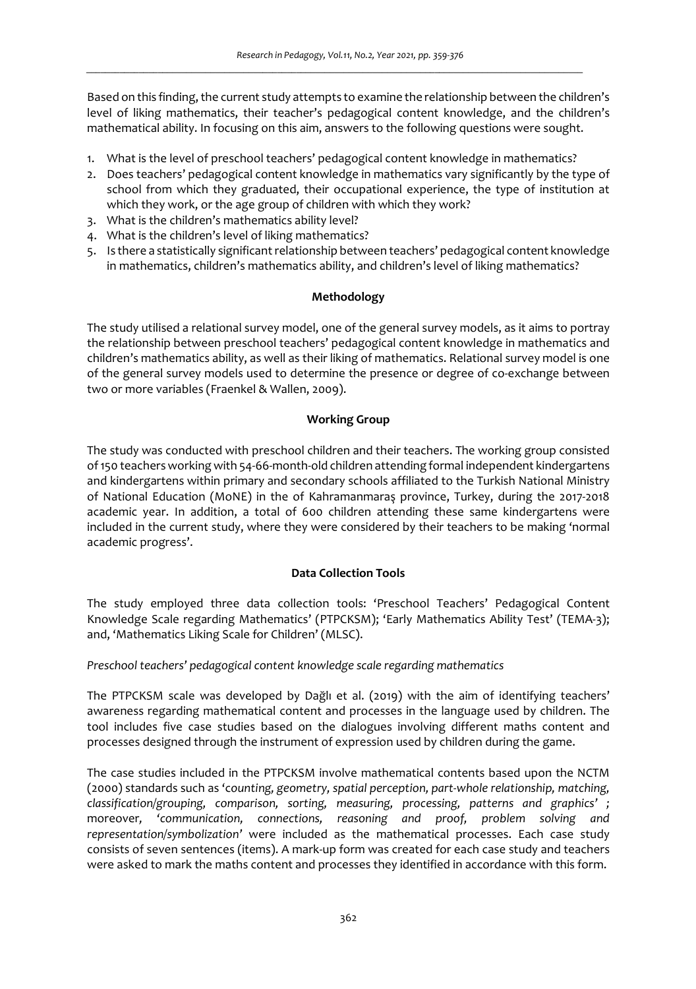Based on this finding, the current study attempts to examine the relationship between the children's level of liking mathematics, their teacher's pedagogical content knowledge, and the children's mathematical ability. In focusing on this aim, answers to the following questions were sought.

- 1. What is the level of preschool teachers' pedagogical content knowledge in mathematics?
- 2. Does teachers' pedagogical content knowledge in mathematics vary significantly by the type of school from which they graduated, their occupational experience, the type of institution at which they work, or the age group of children with which they work?
- 3. What is the children's mathematics ability level?
- 4. What is the children's level of liking mathematics?
- 5. Is there a statistically significant relationship between teachers' pedagogical content knowledge in mathematics, children's mathematics ability, and children's level of liking mathematics?

# **Methodology**

The study utilised a relational survey model, one of the general survey models, as it aims to portray the relationship between preschool teachers' pedagogical content knowledge in mathematics and children's mathematics ability, as well as their liking of mathematics. Relational survey model is one of the general survey models used to determine the presence or degree of co-exchange between two or more variables (Fraenkel & Wallen, 2009).

# **Working Group**

The study was conducted with preschool children and their teachers. The working group consisted of 150 teachers working with 54-66-month-old children attending formal independent kindergartens and kindergartens within primary and secondary schools affiliated to the Turkish National Ministry of National Education (MoNE) in the of Kahramanmaraş province, Turkey, during the 2017-2018 academic year. In addition, a total of 600 children attending these same kindergartens were included in the current study, where they were considered by their teachers to be making 'normal academic progress'.

# **Data Collection Tools**

The study employed three data collection tools: 'Preschool Teachers' Pedagogical Content Knowledge Scale regarding Mathematics' (PTPCKSM); 'Early Mathematics Ability Test' (TEMA-3); and, 'Mathematics Liking Scale for Children' (MLSC).

*Preschool teachers' pedagogical content knowledge scale regarding mathematics* 

The PTPCKSM scale was developed by Dağlı et al. (2019) with the aim of identifying teachers' awareness regarding mathematical content and processes in the language used by children. The tool includes five case studies based on the dialogues involving different maths content and processes designed through the instrument of expression used by children during the game.

The case studies included in the PTPCKSM involve mathematical contents based upon the NCTM (2000) standards such as 'c*ounting, geometry, spatial perception, part-whole relationship, matching, classification/grouping, comparison, sorting, measuring, processing, patterns and graphics' ;*  moreover*, 'communication, connections, reasoning and proof, problem solving and representation/symbolization'* were included as the mathematical processes. Each case study consists of seven sentences (items). A mark-up form was created for each case study and teachers were asked to mark the maths content and processes they identified in accordance with this form.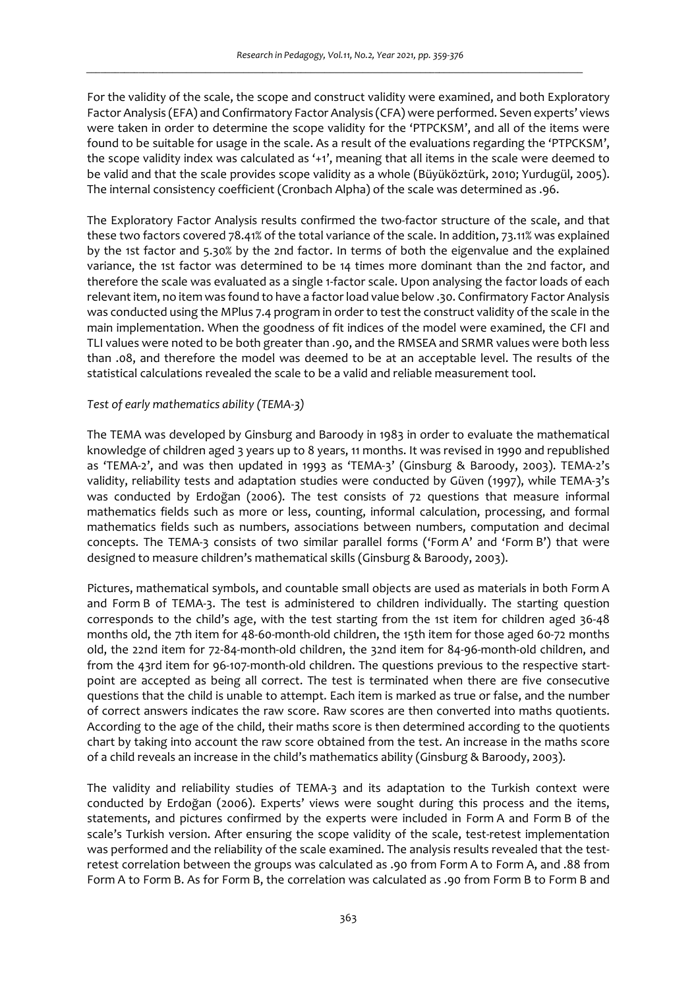For the validity of the scale, the scope and construct validity were examined, and both Exploratory Factor Analysis (EFA) and Confirmatory Factor Analysis (CFA) were performed. Seven experts' views were taken in order to determine the scope validity for the 'PTPCKSM', and all of the items were found to be suitable for usage in the scale. As a result of the evaluations regarding the 'PTPCKSM', the scope validity index was calculated as '+1', meaning that all items in the scale were deemed to be valid and that the scale provides scope validity as a whole (Büyüköztürk, 2010; Yurdugül, 2005). The internal consistency coefficient (Cronbach Alpha) of the scale was determined as .96.

The Exploratory Factor Analysis results confirmed the two-factor structure of the scale, and that these two factors covered 78.41% of the total variance of the scale. In addition, 73.11% was explained by the 1st factor and 5.30% by the 2nd factor. In terms of both the eigenvalue and the explained variance, the 1st factor was determined to be 14 times more dominant than the 2nd factor, and therefore the scale was evaluated as a single 1-factor scale. Upon analysing the factor loads of each relevant item, no item was found to have a factor load value below .30. Confirmatory Factor Analysis was conducted using the MPlus 7.4 program in order to test the construct validity of the scale in the main implementation. When the goodness of fit indices of the model were examined, the CFI and TLI values were noted to be both greater than .90, and the RMSEA and SRMR values were both less than .08, and therefore the model was deemed to be at an acceptable level. The results of the statistical calculations revealed the scale to be a valid and reliable measurement tool.

#### *Test of early mathematics ability (TEMA-3)*

The TEMA was developed by Ginsburg and Baroody in 1983 in order to evaluate the mathematical knowledge of children aged 3 years up to 8 years, 11 months. It was revised in 1990 and republished as 'TEMA-2', and was then updated in 1993 as 'TEMA-3' (Ginsburg & Baroody, 2003). TEMA-2's validity, reliability tests and adaptation studies were conducted by Güven (1997), while TEMA-3's was conducted by Erdoğan (2006). The test consists of 72 questions that measure informal mathematics fields such as more or less, counting, informal calculation, processing, and formal mathematics fields such as numbers, associations between numbers, computation and decimal concepts. The TEMA-3 consists of two similar parallel forms ('Form A' and 'Form B') that were designed to measure children's mathematical skills (Ginsburg & Baroody, 2003).

Pictures, mathematical symbols, and countable small objects are used as materials in both Form A and Form B of TEMA-3. The test is administered to children individually. The starting question corresponds to the child's age, with the test starting from the 1st item for children aged 36-48 months old, the 7th item for 48-60-month-old children, the 15th item for those aged 60-72 months old, the 22nd item for 72-84-month-old children, the 32nd item for 84-96-month-old children, and from the 43rd item for 96-107-month-old children. The questions previous to the respective startpoint are accepted as being all correct. The test is terminated when there are five consecutive questions that the child is unable to attempt. Each item is marked as true or false, and the number of correct answers indicates the raw score. Raw scores are then converted into maths quotients. According to the age of the child, their maths score is then determined according to the quotients chart by taking into account the raw score obtained from the test. An increase in the maths score of a child reveals an increase in the child's mathematics ability (Ginsburg & Baroody, 2003).

The validity and reliability studies of TEMA-3 and its adaptation to the Turkish context were conducted by Erdoğan (2006). Experts' views were sought during this process and the items, statements, and pictures confirmed by the experts were included in Form A and Form B of the scale's Turkish version. After ensuring the scope validity of the scale, test-retest implementation was performed and the reliability of the scale examined. The analysis results revealed that the testretest correlation between the groups was calculated as .90 from Form A to Form A, and .88 from Form A to Form B. As for Form B, the correlation was calculated as .90 from Form B to Form B and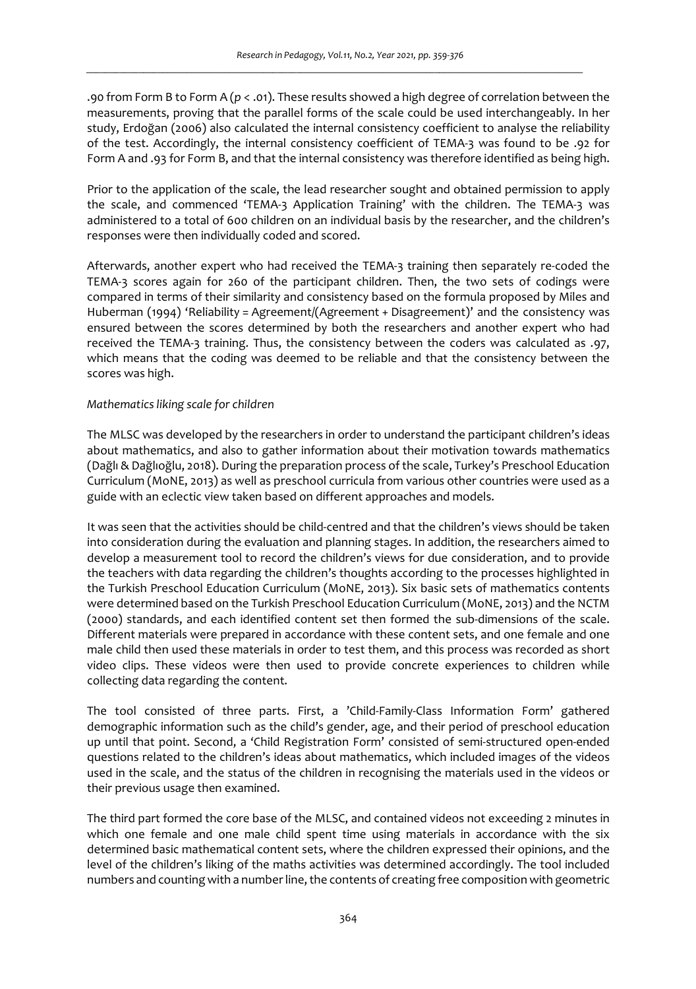.90 from Form B to Form A (*p* < .01). These results showed a high degree of correlation between the measurements, proving that the parallel forms of the scale could be used interchangeably. In her study, Erdoğan (2006) also calculated the internal consistency coefficient to analyse the reliability of the test. Accordingly, the internal consistency coefficient of TEMA-3 was found to be .92 for Form A and .93 for Form B, and that the internal consistency was therefore identified as being high.

Prior to the application of the scale, the lead researcher sought and obtained permission to apply the scale, and commenced 'TEMA-3 Application Training' with the children. The TEMA-3 was administered to a total of 600 children on an individual basis by the researcher, and the children's responses were then individually coded and scored.

Afterwards, another expert who had received the TEMA-3 training then separately re-coded the TEMA-3 scores again for 260 of the participant children. Then, the two sets of codings were compared in terms of their similarity and consistency based on the formula proposed by Miles and Huberman (1994) 'Reliability = Agreement/(Agreement + Disagreement)' and the consistency was ensured between the scores determined by both the researchers and another expert who had received the TEMA-3 training. Thus, the consistency between the coders was calculated as .97, which means that the coding was deemed to be reliable and that the consistency between the scores was high.

#### *Mathematics liking scale for children*

The MLSC was developed by the researchers in order to understand the participant children's ideas about mathematics, and also to gather information about their motivation towards mathematics (Dağlı & Dağlıoğlu, 2018). During the preparation process of the scale, Turkey's Preschool Education Curriculum (MoNE, 2013) as well as preschool curricula from various other countries were used as a guide with an eclectic view taken based on different approaches and models.

It was seen that the activities should be child-centred and that the children's views should be taken into consideration during the evaluation and planning stages. In addition, the researchers aimed to develop a measurement tool to record the children's views for due consideration, and to provide the teachers with data regarding the children's thoughts according to the processes highlighted in the Turkish Preschool Education Curriculum (MoNE, 2013). Six basic sets of mathematics contents were determined based on the Turkish Preschool Education Curriculum (MoNE, 2013) and the NCTM (2000) standards, and each identified content set then formed the sub-dimensions of the scale. Different materials were prepared in accordance with these content sets, and one female and one male child then used these materials in order to test them, and this process was recorded as short video clips. These videos were then used to provide concrete experiences to children while collecting data regarding the content.

The tool consisted of three parts. First, a 'Child-Family-Class Information Form' gathered demographic information such as the child's gender, age, and their period of preschool education up until that point. Second, a 'Child Registration Form' consisted of semi-structured open-ended questions related to the children's ideas about mathematics, which included images of the videos used in the scale, and the status of the children in recognising the materials used in the videos or their previous usage then examined.

The third part formed the core base of the MLSC, and contained videos not exceeding 2 minutes in which one female and one male child spent time using materials in accordance with the six determined basic mathematical content sets, where the children expressed their opinions, and the level of the children's liking of the maths activities was determined accordingly. The tool included numbers and counting with a number line, the contents of creating free composition with geometric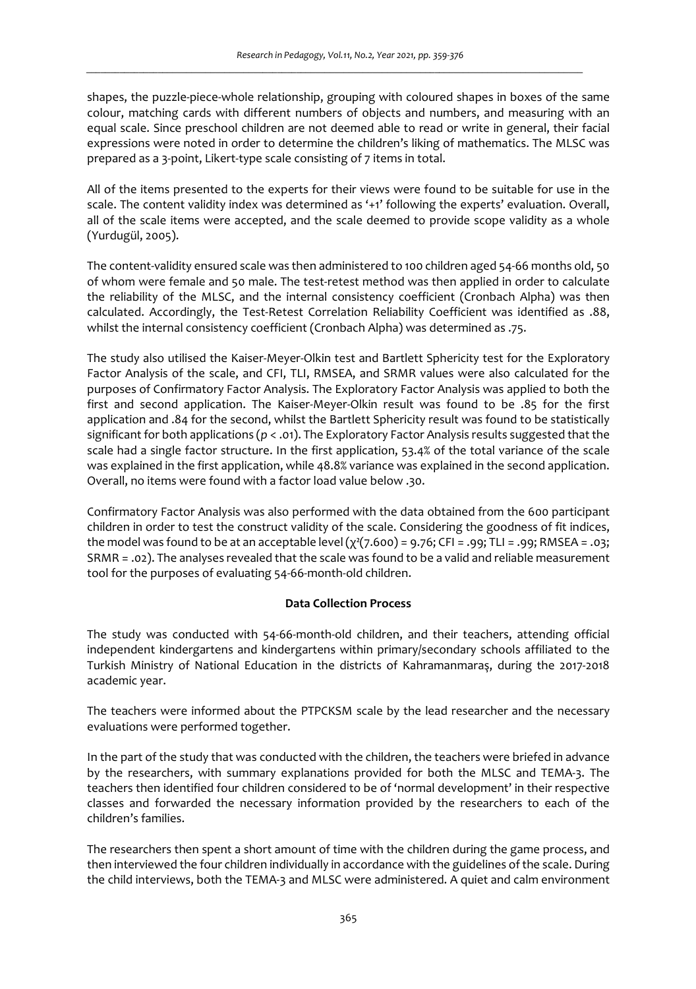shapes, the puzzle-piece-whole relationship, grouping with coloured shapes in boxes of the same colour, matching cards with different numbers of objects and numbers, and measuring with an equal scale. Since preschool children are not deemed able to read or write in general, their facial expressions were noted in order to determine the children's liking of mathematics. The MLSC was prepared as a 3-point, Likert-type scale consisting of 7 items in total.

All of the items presented to the experts for their views were found to be suitable for use in the scale. The content validity index was determined as '+1' following the experts' evaluation. Overall, all of the scale items were accepted, and the scale deemed to provide scope validity as a whole (Yurdugül, 2005).

The content-validity ensured scale was then administered to 100 children aged 54-66 months old, 50 of whom were female and 50 male. The test-retest method was then applied in order to calculate the reliability of the MLSC, and the internal consistency coefficient (Cronbach Alpha) was then calculated. Accordingly, the Test-Retest Correlation Reliability Coefficient was identified as .88, whilst the internal consistency coefficient (Cronbach Alpha) was determined as .75.

The study also utilised the Kaiser-Meyer-Olkin test and Bartlett Sphericity test for the Exploratory Factor Analysis of the scale, and CFI, TLI, RMSEA, and SRMR values were also calculated for the purposes of Confirmatory Factor Analysis. The Exploratory Factor Analysis was applied to both the first and second application. The Kaiser-Meyer-Olkin result was found to be .85 for the first application and .84 for the second, whilst the Bartlett Sphericity result was found to be statistically significant for both applications (*p* < .01). The Exploratory Factor Analysis results suggested that the scale had a single factor structure. In the first application, 53.4% of the total variance of the scale was explained in the first application, while 48.8% variance was explained in the second application. Overall, no items were found with a factor load value below .30.

Confirmatory Factor Analysis was also performed with the data obtained from the 600 participant children in order to test the construct validity of the scale. Considering the goodness of fit indices, the model was found to be at an acceptable level  $(\chi^2(7.600) = 9.76$ ; CFI = .99; TLI = .99; RMSEA = .03; SRMR = .02). The analyses revealed that the scale was found to be a valid and reliable measurement tool for the purposes of evaluating 54-66-month-old children.

#### **Data Collection Process**

The study was conducted with 54-66-month-old children, and their teachers, attending official independent kindergartens and kindergartens within primary/secondary schools affiliated to the Turkish Ministry of National Education in the districts of Kahramanmaraş, during the 2017-2018 academic year.

The teachers were informed about the PTPCKSM scale by the lead researcher and the necessary evaluations were performed together.

In the part of the study that was conducted with the children, the teachers were briefed in advance by the researchers, with summary explanations provided for both the MLSC and TEMA-3. The teachers then identified four children considered to be of 'normal development' in their respective classes and forwarded the necessary information provided by the researchers to each of the children's families.

The researchers then spent a short amount of time with the children during the game process, and then interviewed the four children individually in accordance with the guidelines of the scale. During the child interviews, both the TEMA-3 and MLSC were administered. A quiet and calm environment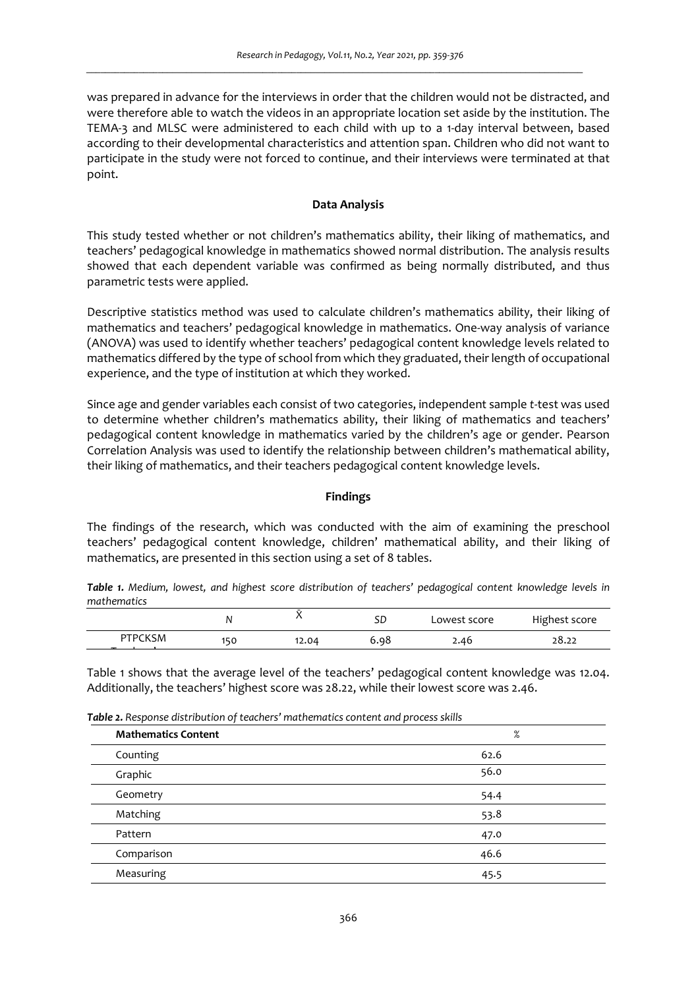was prepared in advance for the interviews in order that the children would not be distracted, and were therefore able to watch the videos in an appropriate location set aside by the institution. The TEMA-3 and MLSC were administered to each child with up to a 1-day interval between, based according to their developmental characteristics and attention span. Children who did not want to participate in the study were not forced to continue, and their interviews were terminated at that point.

## **Data Analysis**

This study tested whether or not children's mathematics ability, their liking of mathematics, and teachers' pedagogical knowledge in mathematics showed normal distribution. The analysis results showed that each dependent variable was confirmed as being normally distributed, and thus parametric tests were applied.

Descriptive statistics method was used to calculate children's mathematics ability, their liking of mathematics and teachers' pedagogical knowledge in mathematics. One-way analysis of variance (ANOVA) was used to identify whether teachers' pedagogical content knowledge levels related to mathematics differed by the type of school from which they graduated, their length of occupational experience, and the type of institution at which they worked.

Since age and gender variables each consist of two categories, independent sample *t*-test was used to determine whether children's mathematics ability, their liking of mathematics and teachers' pedagogical content knowledge in mathematics varied by the children's age or gender. Pearson Correlation Analysis was used to identify the relationship between children's mathematical ability, their liking of mathematics, and their teachers pedagogical content knowledge levels.

#### **Findings**

The findings of the research, which was conducted with the aim of examining the preschool teachers' pedagogical content knowledge, children' mathematical ability, and their liking of mathematics, are presented in this section using a set of 8 tables.

*Table 1. Medium, lowest, and highest score distribution of teachers' pedagogical content knowledge levels in mathematics* 

|                | Ν   | $\lambda$ | SD   | Lowest score | Highest score |
|----------------|-----|-----------|------|--------------|---------------|
| <b>PTPCKSM</b> | 150 | 12.04     | 6.98 | 2.46         | 28.22         |
|                |     |           |      |              |               |

Table 1 shows that the average level of the teachers' pedagogical content knowledge was 12.04. Additionally, the teachers' highest score was 28.22, while their lowest score was 2.46.

| Table 2. Response distribution of teachers' mathematics content and process skills |  |
|------------------------------------------------------------------------------------|--|
|------------------------------------------------------------------------------------|--|

| <b>Mathematics Content</b> | %    |
|----------------------------|------|
| Counting                   | 62.6 |
| Graphic                    | 56.0 |
| Geometry                   | 54.4 |
| Matching                   | 53.8 |
| Pattern                    | 47.0 |
| Comparison                 | 46.6 |
| Measuring                  | 45.5 |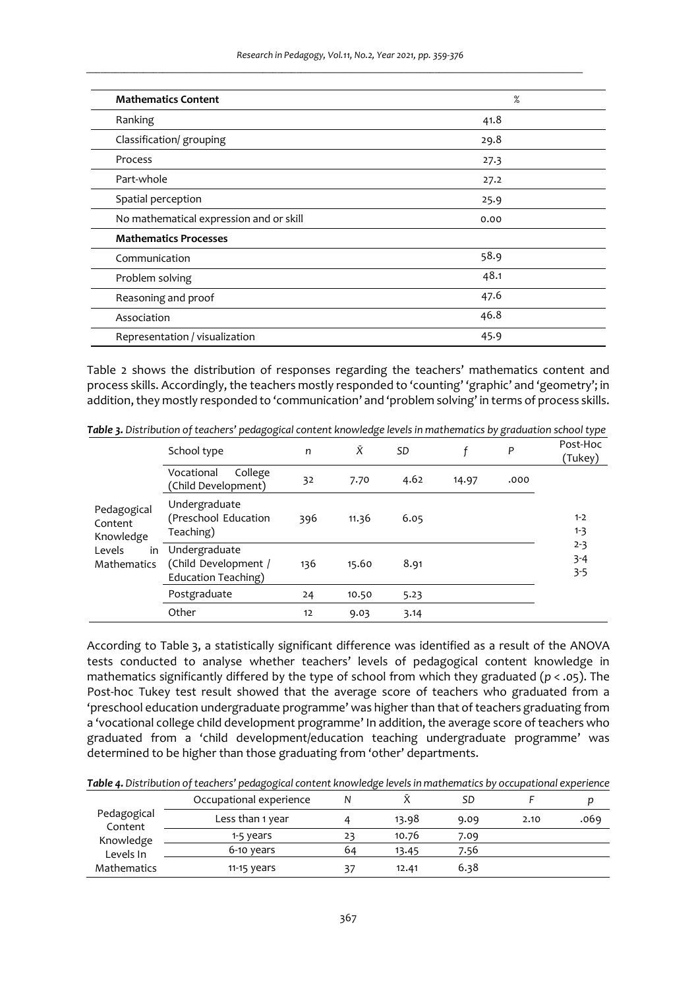| <b>Mathematics Content</b>              | %    |
|-----------------------------------------|------|
| Ranking                                 | 41.8 |
| Classification/ grouping                | 29.8 |
| Process                                 | 27.3 |
| Part-whole                              | 27.2 |
| Spatial perception                      | 25.9 |
| No mathematical expression and or skill | 0.00 |
| <b>Mathematics Processes</b>            |      |
| Communication                           | 58.9 |
| Problem solving                         | 48.1 |
| Reasoning and proof                     | 47.6 |
| Association                             | 46.8 |
| Representation / visualization          | 45.9 |

Table 2 shows the distribution of responses regarding the teachers' mathematics content and process skills. Accordingly, the teachers mostly responded to 'counting' 'graphic' and 'geometry'; in addition, they mostly responded to 'communication' and 'problem solving' in terms of process skills.

*Table 3. Distribution of teachers' pedagogical content knowledge levels in mathematics by graduation school type* 

|                                     | School type                                                  | n   | Ñ     | <b>SD</b> |       | P    | Post-Hoc<br>(Tukey)           |
|-------------------------------------|--------------------------------------------------------------|-----|-------|-----------|-------|------|-------------------------------|
|                                     | College<br>Vocational<br>(Child Development)                 | 32  | 7.70  | 4.62      | 14.97 | .000 |                               |
| Pedagogical<br>Content<br>Knowledge | Undergraduate<br>(Preschool Education<br>Teaching)           | 396 | 11.36 | 6.05      |       |      | $1 - 2$<br>$1 - 3$            |
| Levels<br>in<br><b>Mathematics</b>  | Undergraduate<br>(Child Development /<br>Education Teaching) | 136 | 15.60 | 8.91      |       |      | $2 - 3$<br>$3 - 4$<br>$3 - 5$ |
|                                     | Postgraduate                                                 | 24  | 10.50 | 5.23      |       |      |                               |
|                                     | Other                                                        | 12  | 9.03  | 3.14      |       |      |                               |

According to Table 3, a statistically significant difference was identified as a result of the ANOVA tests conducted to analyse whether teachers' levels of pedagogical content knowledge in mathematics significantly differed by the type of school from which they graduated (*p* < .05). The Post-hoc Tukey test result showed that the average score of teachers who graduated from a 'preschool education undergraduate programme' was higher than that of teachers graduating from a 'vocational college child development programme' In addition, the average score of teachers who graduated from a 'child development/education teaching undergraduate programme' was determined to be higher than those graduating from 'other' departments.

|                        | Occupational experience |    |       | SD   |      | D    |
|------------------------|-------------------------|----|-------|------|------|------|
| Pedagogical<br>Content | Less than 1 year        |    | 13.98 | 9.09 | 2.10 | .069 |
| Knowledge              | 1-5 years               | 23 | 10.76 | 7.09 |      |      |
| Levels In              | 6-10 years              | 64 | 13.45 | 7.56 |      |      |
| Mathematics            | $11-15$ years           | 37 | 12.41 | 6.38 |      |      |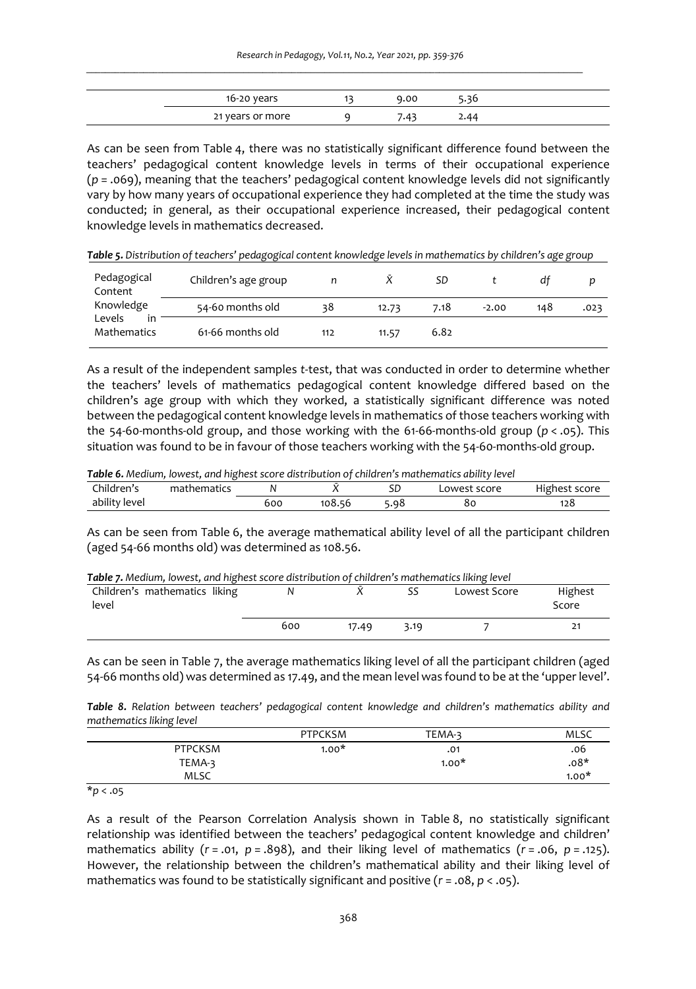| $16-20$ years    | 9.00 |  |
|------------------|------|--|
| 21 years or more |      |  |

As can be seen from Table 4, there was no statistically significant difference found between the teachers' pedagogical content knowledge levels in terms of their occupational experience (*p* = .069), meaning that the teachers' pedagogical content knowledge levels did not significantly vary by how many years of occupational experience they had completed at the time the study was conducted; in general, as their occupational experience increased, their pedagogical content knowledge levels in mathematics decreased.

|  | Table 5. Distribution of teachers' pedagogical content knowledge levels in mathematics by children's age group |  |  |  |
|--|----------------------------------------------------------------------------------------------------------------|--|--|--|
|--|----------------------------------------------------------------------------------------------------------------|--|--|--|

| Pedagogical<br>Content             | Children's age group |     |       | SD   |         | dt  |      |
|------------------------------------|----------------------|-----|-------|------|---------|-----|------|
| Knowledge                          | 54-60 months old     | 38  | 12.73 | 7.18 | $-2.00$ | 148 | .023 |
| Levels<br>in<br><b>Mathematics</b> | 61-66 months old     | 112 | 11.57 | 6.82 |         |     |      |

As a result of the independent samples *t*-test, that was conducted in order to determine whether the teachers' levels of mathematics pedagogical content knowledge differed based on the children's age group with which they worked, a statistically significant difference was noted between the pedagogical content knowledge levels in mathematics of those teachers working with the 54-60-months-old group, and those working with the 61-66-months-old group (*p* < .05). This situation was found to be in favour of those teachers working with the 54-60-months-old group.

*Table 6. Medium, lowest, and highest score distribution of children's mathematics ability level* 

| $-1$<br>hildren's_ | ÷.<br>--------<br>'nematics |     |                 | cг<br>ىرد   | owest score. | $\cdot$ .<br>ighest score |
|--------------------|-----------------------------|-----|-----------------|-------------|--------------|---------------------------|
| <br>ability level  |                             | 600 | 108.<br>-<br>יר | ں ہے۔<br>чо | 8c           | 128                       |

As can be seen from Table 6, the average mathematical ability level of all the participant children (aged 54-66 months old) was determined as 108.56.

|  |  |  | Table 7. Medium, lowest, and highest score distribution of children's mathematics liking level |  |
|--|--|--|------------------------------------------------------------------------------------------------|--|
|--|--|--|------------------------------------------------------------------------------------------------|--|

| Children's mathematics liking<br>level |     |       |      | Lowest Score | Highest<br>Score |
|----------------------------------------|-----|-------|------|--------------|------------------|
|                                        | 600 | 17.49 | 3.19 |              | 21               |

As can be seen in Table 7, the average mathematics liking level of all the participant children (aged 54-66 months old) was determined as 17.49, and the mean level was found to be at the 'upper level'.

*Table 8. Relation between teachers' pedagogical content knowledge and children's mathematics ability and mathematics liking level* 

|                | <b>PTPCKSM</b> | TEMA-3  | MLSC    |
|----------------|----------------|---------|---------|
| <b>PTPCKSM</b> | $1.00*$        | .01     | 06.     |
| TEMA-3         |                | $1.00*$ | $.08*$  |
| <b>MLSC</b>    |                |         | $1.00*$ |
| $\sim$         |                |         |         |

\**p* < .05

As a result of the Pearson Correlation Analysis shown in Table 8, no statistically significant relationship was identified between the teachers' pedagogical content knowledge and children' mathematics ability (*r* = .01, *p* = .898), and their liking level of mathematics (*r* = .06, *p* = .125). However, the relationship between the children's mathematical ability and their liking level of mathematics was found to be statistically significant and positive (*r* = .08, *p* < .05).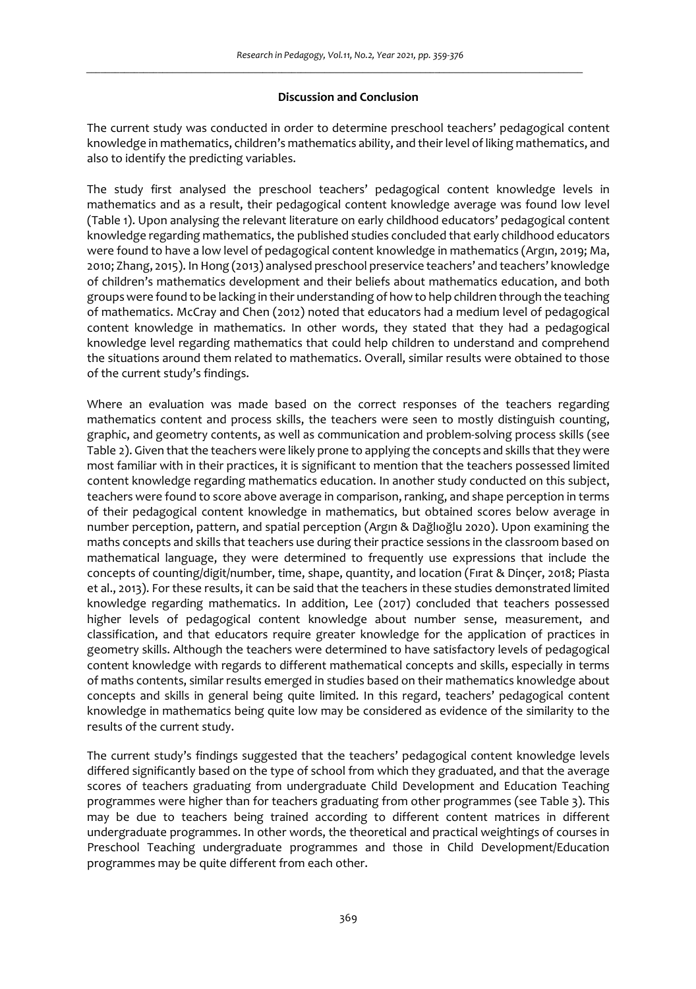## **Discussion and Conclusion**

The current study was conducted in order to determine preschool teachers' pedagogical content knowledge in mathematics, children's mathematics ability, and their level of liking mathematics, and also to identify the predicting variables.

The study first analysed the preschool teachers' pedagogical content knowledge levels in mathematics and as a result, their pedagogical content knowledge average was found low level (Table 1). Upon analysing the relevant literature on early childhood educators' pedagogical content knowledge regarding mathematics, the published studies concluded that early childhood educators were found to have a low level of pedagogical content knowledge in mathematics (Argın, 2019; Ma, 2010; Zhang, 2015). In Hong (2013) analysed preschool preservice teachers' and teachers' knowledge of children's mathematics development and their beliefs about mathematics education, and both groups were found to be lacking in their understanding of how to help children through the teaching of mathematics. McCray and Chen (2012) noted that educators had a medium level of pedagogical content knowledge in mathematics. In other words, they stated that they had a pedagogical knowledge level regarding mathematics that could help children to understand and comprehend the situations around them related to mathematics. Overall, similar results were obtained to those of the current study's findings.

Where an evaluation was made based on the correct responses of the teachers regarding mathematics content and process skills, the teachers were seen to mostly distinguish counting, graphic, and geometry contents, as well as communication and problem-solving process skills (see Table 2). Given that the teachers were likely prone to applying the concepts and skills that they were most familiar with in their practices, it is significant to mention that the teachers possessed limited content knowledge regarding mathematics education. In another study conducted on this subject, teachers were found to score above average in comparison, ranking, and shape perception in terms of their pedagogical content knowledge in mathematics, but obtained scores below average in number perception, pattern, and spatial perception (Argın & Dağlıoğlu 2020). Upon examining the maths concepts and skills that teachers use during their practice sessions in the classroom based on mathematical language, they were determined to frequently use expressions that include the concepts of counting/digit/number, time, shape, quantity, and location (Fırat & Dinçer, 2018; Piasta et al., 2013). For these results, it can be said that the teachers in these studies demonstrated limited knowledge regarding mathematics. In addition, Lee (2017) concluded that teachers possessed higher levels of pedagogical content knowledge about number sense, measurement, and classification, and that educators require greater knowledge for the application of practices in geometry skills. Although the teachers were determined to have satisfactory levels of pedagogical content knowledge with regards to different mathematical concepts and skills, especially in terms of maths contents, similar results emerged in studies based on their mathematics knowledge about concepts and skills in general being quite limited. In this regard, teachers' pedagogical content knowledge in mathematics being quite low may be considered as evidence of the similarity to the results of the current study.

The current study's findings suggested that the teachers' pedagogical content knowledge levels differed significantly based on the type of school from which they graduated, and that the average scores of teachers graduating from undergraduate Child Development and Education Teaching programmes were higher than for teachers graduating from other programmes (see Table 3). This may be due to teachers being trained according to different content matrices in different undergraduate programmes. In other words, the theoretical and practical weightings of courses in Preschool Teaching undergraduate programmes and those in Child Development/Education programmes may be quite different from each other.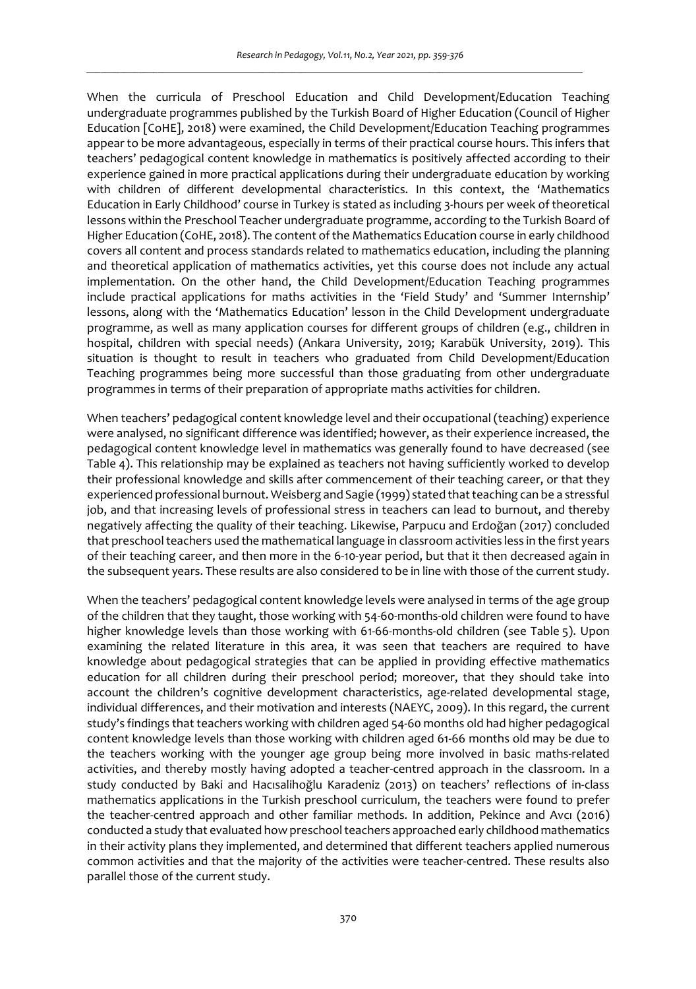When the curricula of Preschool Education and Child Development/Education Teaching undergraduate programmes published by the Turkish Board of Higher Education (Council of Higher Education [CoHE], 2018) were examined, the Child Development/Education Teaching programmes appear to be more advantageous, especially in terms of their practical course hours. This infers that teachers' pedagogical content knowledge in mathematics is positively affected according to their experience gained in more practical applications during their undergraduate education by working with children of different developmental characteristics. In this context, the 'Mathematics Education in Early Childhood' course in Turkey is stated as including 3-hours per week of theoretical lessons within the Preschool Teacher undergraduate programme, according to the Turkish Board of Higher Education (CoHE, 2018). The content of the Mathematics Education course in early childhood covers all content and process standards related to mathematics education, including the planning and theoretical application of mathematics activities, yet this course does not include any actual implementation. On the other hand, the Child Development/Education Teaching programmes include practical applications for maths activities in the 'Field Study' and 'Summer Internship' lessons, along with the 'Mathematics Education' lesson in the Child Development undergraduate programme, as well as many application courses for different groups of children (e.g., children in hospital, children with special needs) (Ankara University, 2019; Karabük University, 2019). This situation is thought to result in teachers who graduated from Child Development/Education Teaching programmes being more successful than those graduating from other undergraduate programmes in terms of their preparation of appropriate maths activities for children.

When teachers' pedagogical content knowledge level and their occupational (teaching) experience were analysed, no significant difference was identified; however, as their experience increased, the pedagogical content knowledge level in mathematics was generally found to have decreased (see Table 4). This relationship may be explained as teachers not having sufficiently worked to develop their professional knowledge and skills after commencement of their teaching career, or that they experienced professional burnout. Weisberg and Sagie (1999) stated that teaching can be a stressful job, and that increasing levels of professional stress in teachers can lead to burnout, and thereby negatively affecting the quality of their teaching. Likewise, Parpucu and Erdoğan (2017) concluded that preschool teachers used the mathematical language in classroom activities less in the first years of their teaching career, and then more in the 6-10-year period, but that it then decreased again in the subsequent years. These results are also considered to be in line with those of the current study.

When the teachers' pedagogical content knowledge levels were analysed in terms of the age group of the children that they taught, those working with 54-60-months-old children were found to have higher knowledge levels than those working with 61-66-months-old children (see Table 5). Upon examining the related literature in this area, it was seen that teachers are required to have knowledge about pedagogical strategies that can be applied in providing effective mathematics education for all children during their preschool period; moreover, that they should take into account the children's cognitive development characteristics, age-related developmental stage, individual differences, and their motivation and interests (NAEYC, 2009). In this regard, the current study's findings that teachers working with children aged 54-60 months old had higher pedagogical content knowledge levels than those working with children aged 61-66 months old may be due to the teachers working with the younger age group being more involved in basic maths-related activities, and thereby mostly having adopted a teacher-centred approach in the classroom. In a study conducted by Baki and Hacısalihoğlu Karadeniz (2013) on teachers' reflections of in-class mathematics applications in the Turkish preschool curriculum, the teachers were found to prefer the teacher-centred approach and other familiar methods. In addition, Pekince and Avcı (2016) conducted a study that evaluated how preschool teachers approached early childhood mathematics in their activity plans they implemented, and determined that different teachers applied numerous common activities and that the majority of the activities were teacher-centred. These results also parallel those of the current study.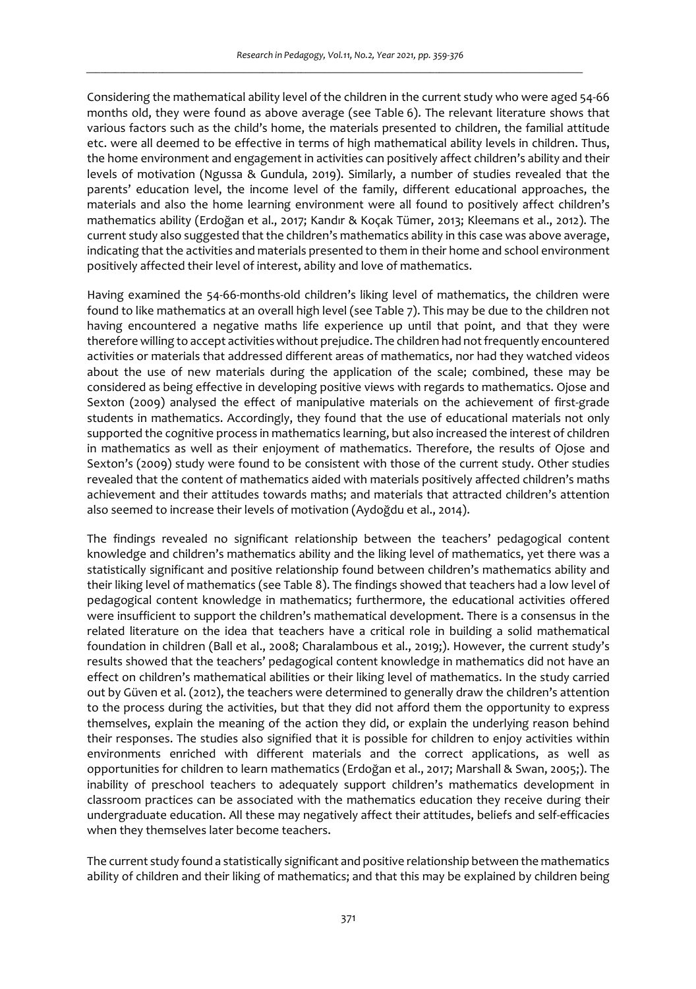Considering the mathematical ability level of the children in the current study who were aged 54-66 months old, they were found as above average (see Table 6). The relevant literature shows that various factors such as the child's home, the materials presented to children, the familial attitude etc. were all deemed to be effective in terms of high mathematical ability levels in children. Thus, the home environment and engagement in activities can positively affect children's ability and their levels of motivation (Ngussa & Gundula, 2019). Similarly, a number of studies revealed that the parents' education level, the income level of the family, different educational approaches, the materials and also the home learning environment were all found to positively affect children's mathematics ability (Erdoğan et al., 2017; Kandır & Koçak Tümer, 2013; Kleemans et al., 2012). The current study also suggested that the children's mathematics ability in this case was above average, indicating that the activities and materials presented to them in their home and school environment positively affected their level of interest, ability and love of mathematics.

Having examined the 54-66-months-old children's liking level of mathematics, the children were found to like mathematics at an overall high level (see Table 7). This may be due to the children not having encountered a negative maths life experience up until that point, and that they were therefore willing to accept activities without prejudice. The children had not frequently encountered activities or materials that addressed different areas of mathematics, nor had they watched videos about the use of new materials during the application of the scale; combined, these may be considered as being effective in developing positive views with regards to mathematics. Ojose and Sexton (2009) analysed the effect of manipulative materials on the achievement of first-grade students in mathematics. Accordingly, they found that the use of educational materials not only supported the cognitive process in mathematics learning, but also increased the interest of children in mathematics as well as their enjoyment of mathematics. Therefore, the results of Ojose and Sexton's (2009) study were found to be consistent with those of the current study. Other studies revealed that the content of mathematics aided with materials positively affected children's maths achievement and their attitudes towards maths; and materials that attracted children's attention also seemed to increase their levels of motivation (Aydoğdu et al., 2014).

The findings revealed no significant relationship between the teachers' pedagogical content knowledge and children's mathematics ability and the liking level of mathematics, yet there was a statistically significant and positive relationship found between children's mathematics ability and their liking level of mathematics (see Table 8). The findings showed that teachers had a low level of pedagogical content knowledge in mathematics; furthermore, the educational activities offered were insufficient to support the children's mathematical development. There is a consensus in the related literature on the idea that teachers have a critical role in building a solid mathematical foundation in children (Ball et al., 2008; Charalambous et al., 2019;). However, the current study's results showed that the teachers' pedagogical content knowledge in mathematics did not have an effect on children's mathematical abilities or their liking level of mathematics. In the study carried out by Güven et al. (2012), the teachers were determined to generally draw the children's attention to the process during the activities, but that they did not afford them the opportunity to express themselves, explain the meaning of the action they did, or explain the underlying reason behind their responses. The studies also signified that it is possible for children to enjoy activities within environments enriched with different materials and the correct applications, as well as opportunities for children to learn mathematics (Erdoğan et al., 2017; Marshall & Swan, 2005;). The inability of preschool teachers to adequately support children's mathematics development in classroom practices can be associated with the mathematics education they receive during their undergraduate education. All these may negatively affect their attitudes, beliefs and self-efficacies when they themselves later become teachers.

The current study found a statistically significant and positive relationship between the mathematics ability of children and their liking of mathematics; and that this may be explained by children being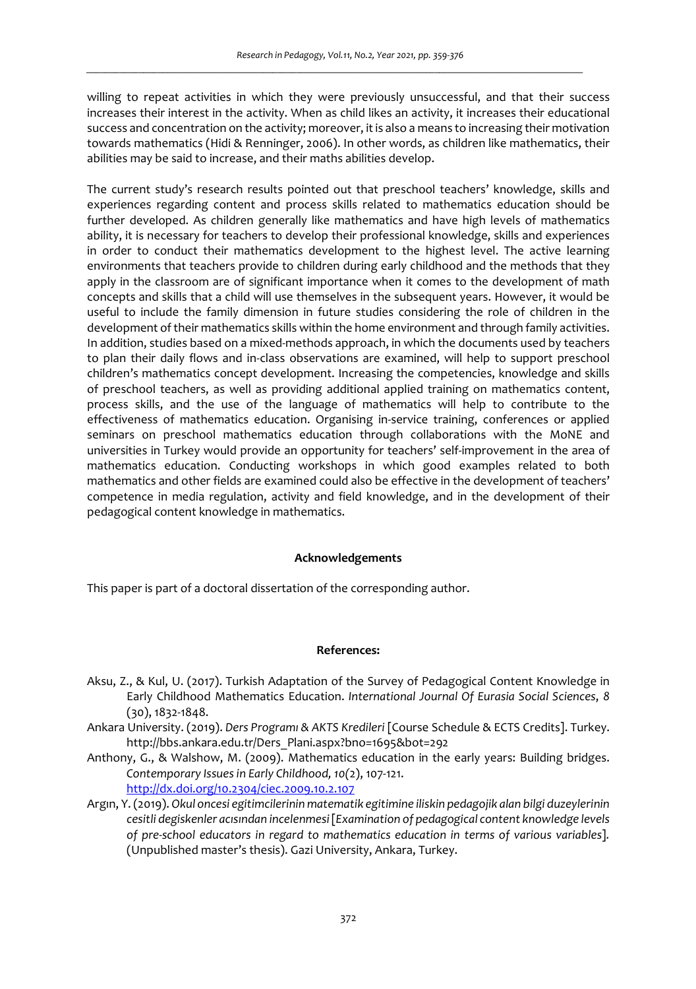willing to repeat activities in which they were previously unsuccessful, and that their success increases their interest in the activity. When as child likes an activity, it increases their educational success and concentration on the activity; moreover, it is also a means to increasing their motivation towards mathematics (Hidi & Renninger, 2006). In other words, as children like mathematics, their abilities may be said to increase, and their maths abilities develop.

The current study's research results pointed out that preschool teachers' knowledge, skills and experiences regarding content and process skills related to mathematics education should be further developed. As children generally like mathematics and have high levels of mathematics ability, it is necessary for teachers to develop their professional knowledge, skills and experiences in order to conduct their mathematics development to the highest level. The active learning environments that teachers provide to children during early childhood and the methods that they apply in the classroom are of significant importance when it comes to the development of math concepts and skills that a child will use themselves in the subsequent years. However, it would be useful to include the family dimension in future studies considering the role of children in the development of their mathematics skills within the home environment and through family activities. In addition, studies based on a mixed-methods approach, in which the documents used by teachers to plan their daily flows and in-class observations are examined, will help to support preschool children's mathematics concept development. Increasing the competencies, knowledge and skills of preschool teachers, as well as providing additional applied training on mathematics content, process skills, and the use of the language of mathematics will help to contribute to the effectiveness of mathematics education. Organising in-service training, conferences or applied seminars on preschool mathematics education through collaborations with the MoNE and universities in Turkey would provide an opportunity for teachers' self-improvement in the area of mathematics education. Conducting workshops in which good examples related to both mathematics and other fields are examined could also be effective in the development of teachers' competence in media regulation, activity and field knowledge, and in the development of their pedagogical content knowledge in mathematics.

#### **Acknowledgements**

This paper is part of a doctoral dissertation of the corresponding author.

# **References:**

- Aksu, Z., & Kul, U. (2017). Turkish Adaptation of the Survey of Pedagogical Content Knowledge in Early Childhood Mathematics Education. *International Journal Of Eurasia Social Sciences*, *8*  (30), 1832-1848.
- Ankara University. (2019). *Ders Programı & AKTS Kredileri* [Course Schedule & ECTS Credits]. Turkey. http://bbs.ankara.edu.tr/Ders\_Plani.aspx?bno=1695&bot=292
- Anthony, G., & Walshow, M. (2009). Mathematics education in the early years: Building bridges. *Contemporary Issues in Early Childhood, 10(*2), 107-121. http://dx.doi.org/10.2304/ciec.2009.10.2.107
- Argın, Y. (2019). *Okul oncesi egitimcilerinin matematik egitimine iliskin pedagojik alan bilgi duzeylerinin cesitli degiskenler acısından incelenmesi* [*Examination of pedagogical content knowledge levels of pre-school educators in regard to mathematics education in terms of various variables*]*.*  (Unpublished master's thesis). Gazi University, Ankara, Turkey.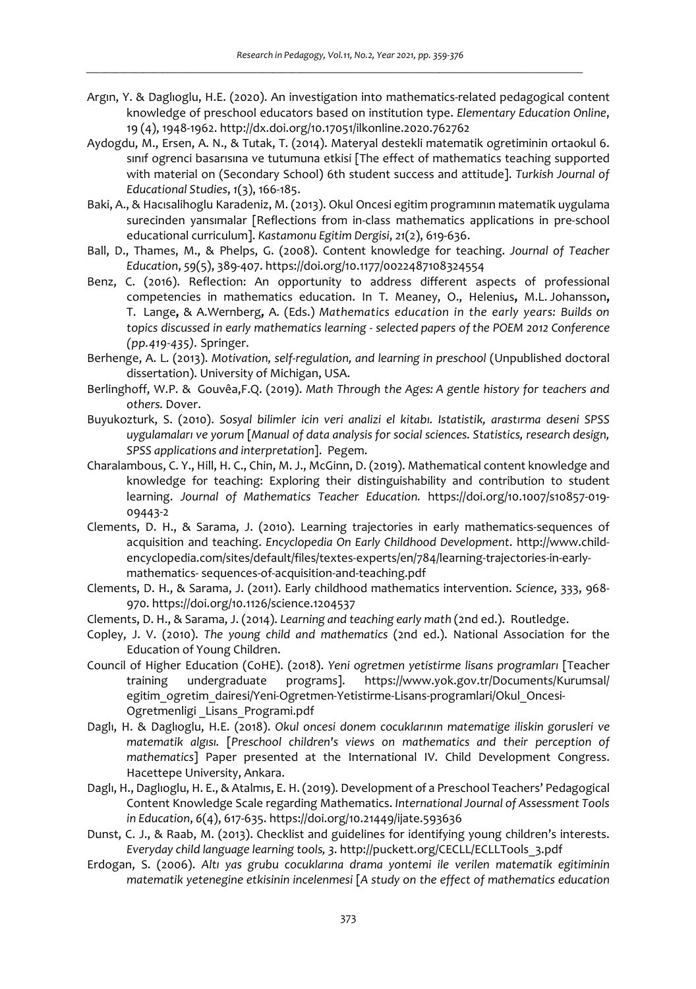- Argın, Y. & Daglıoglu, H.E. (2020). An investigation into mathematics-related pedagogical content knowledge of preschool educators based on institution type. *Elementary Education Online*, 19 (4), 1948-1962. http://dx.doi.org/10.17051/ilkonline.2020.762762
- Aydogdu, M., Ersen, A. N., & Tutak, T. (2014). Materyal destekli matematik ogretiminin ortaokul 6. sınıf ogrenci basarısına ve tutumuna etkisi [The effect of mathematics teaching supported with material on (Secondary School) 6th student success and attitude]. *Turkish Journal of Educational Studies*, *1*(3), 166-185.
- Baki, A., & Hacısalihoglu Karadeniz, M. (2013). Okul Oncesi egitim programının matematik uygulama surecinden yansımalar [Reflections from in-class mathematics applications in pre-school educational curriculum]. *Kastamonu Egitim Dergisi*, *21*(2), 619-636.
- Ball, D., Thames, M., & Phelps, G. (2008). Content knowledge for teaching. *Journal of Teacher Education*, *59*(5), 389-407. https://doi.org/10.1177/0022487108324554
- Benz, C. (2016). Reflection: An opportunity to address different aspects of professional competencies in mathematics education. In T. Meaney, O., Helenius**,** M.L. Johansson**,**  T.Lange**,** & A.Wernberg**,** A. (Eds.) *Mathematics education in the early years: Builds on topics discussed in early mathematics learning - selected papers of the POEM 2012 Conference (pp.419-435).* Springer.
- Berhenge, A. L. (2013). *Motivation, self-regulation, and learning in preschool* (Unpublished doctoral dissertation). University of Michigan, USA.
- Berlinghoff, W.P. & Gouvêa,F.Q. (2019). *Math Through the Ages: A gentle history for teachers and others.* Dover.
- Buyukozturk, S. (2010). *Sosyal bilimler icin veri analizi el kitabı. Istatistik, arastırma deseni SPSS uygulamaları ve yorum* [*Manual of data analysis for social sciences. Statistics, research design, SPSS applications and interpretation*]. Pegem.
- Charalambous, C. Y., Hill, H. C., Chin, M. J., McGinn, D. (2019). Mathematical content knowledge and knowledge for teaching: Exploring their distinguishability and contribution to student learning. *Journal of Mathematics Teacher Education.* https://doi.org/10.1007/s10857-019- 09443-2
- Clements, D. H., & Sarama, J. (2010). Learning trajectories in early mathematics-sequences of acquisition and teaching. *Encyclopedia On Early Childhood Development*. http://www.childencyclopedia.com/sites/default/files/textes-experts/en/784/learning-trajectories-in-earlymathematics- sequences-of-acquisition-and-teaching.pdf
- Clements, D. H., & Sarama, J. (2011). Early childhood mathematics intervention. *Science*, 333, 968- 970. https://doi.org/10.1126/science.1204537
- Clements, D. H., & Sarama, J. (2014). *Learning and teaching early math* (2nd ed.). Routledge.
- Copley, J. V. (2010). *The young child and mathematics* (2nd ed.). National Association for the Education of Young Children.
- Council of Higher Education (CoHE). (2018). *Yeni ogretmen yetistirme lisans programları* [Teacher training undergraduate programs]. https://www.yok.gov.tr/Documents/Kurumsal/ egitim\_ogretim\_dairesi/Yeni-Ogretmen-Yetistirme-Lisans-programlari/Okul\_Oncesi-Ogretmenligi \_Lisans\_Programi.pdf
- Daglı, H. & Daglıoglu, H.E. (2018). *Okul oncesi donem cocuklarının matematige iliskin gorusleri ve matematik algısı.* [*Preschool children's views on mathematics and their perception of mathematics*] Paper presented at the International IV. Child Development Congress. Hacettepe University, Ankara.
- Daglı, H., Daglıoglu, H. E., & Atalmıs, E. H. (2019). Development of a Preschool Teachers' Pedagogical Content Knowledge Scale regarding Mathematics. *International Journal of Assessment Tools in Education*, *6*(4), 617-635. https://doi.org/10.21449/ijate.593636
- Dunst, C. J., & Raab, M. (2013). Checklist and guidelines for identifying young children's interests. *Everyday child language learning tools, 3*. http://puckett.org/CECLL/ECLLTools\_3.pdf
- Erdogan, S. (2006). *Altı yas grubu cocuklarına drama yontemi ile verilen matematik egitiminin matematik yetenegine etkisinin incelenmesi* [*A study on the effect of mathematics education*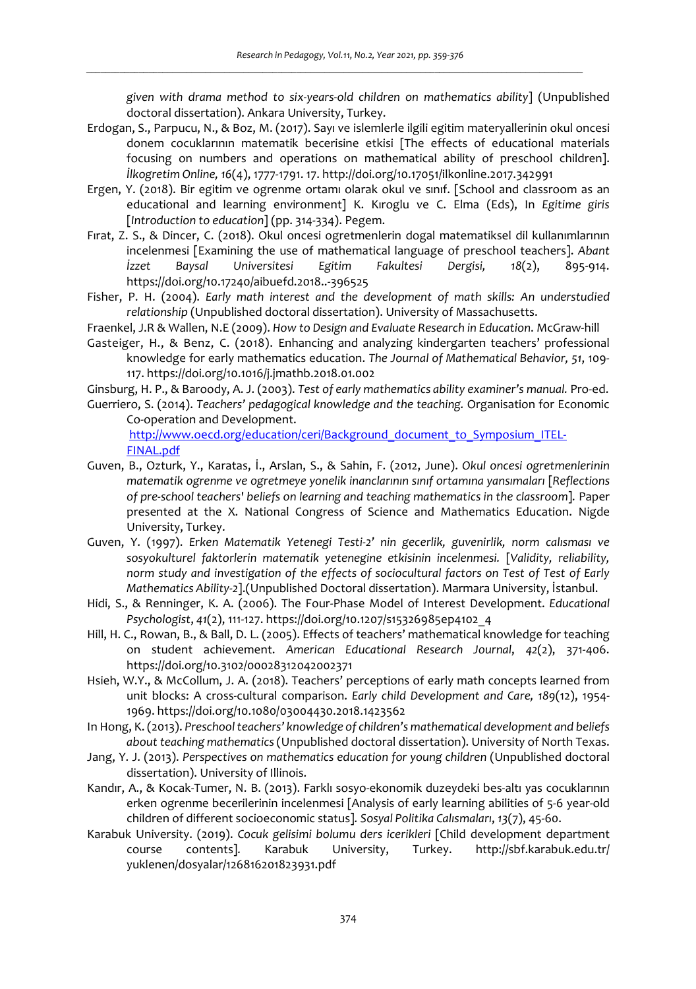*given with drama method to six-years-old children on mathematics ability*] (Unpublished doctoral dissertation). Ankara University, Turkey.

- Erdogan, S., Parpucu, N., & Boz, M. (2017). Sayı ve islemlerle ilgili egitim materyallerinin okul oncesi donem cocuklarının matematik becerisine etkisi [The effects of educational materials focusing on numbers and operations on mathematical ability of preschool children]. *İlkogretim Online, 16*(4), 1777-1791. 17. http://doi.org/10.17051/ilkonline.2017.342991
- Ergen, Y. (2018). Bir egitim ve ogrenme ortamı olarak okul ve sınıf. [School and classroom as an educational and learning environment] K. Kıroglu ve C. Elma (Eds), In *Egitime giris* [*Introduction to education*] (pp. 314-334). Pegem.
- Fırat, Z. S., & Dincer, C. (2018). Okul oncesi ogretmenlerin dogal matematiksel dil kullanımlarının incelenmesi [Examining the use of mathematical language of preschool teachers]. *Abant İzzet Baysal Universitesi Egitim Fakultesi Dergisi, 18*(2), 895-914. https://doi.org/10.17240/aibuefd.2018..-396525
- Fisher, P. H. (2004). *Early math interest and the development of math skills: An understudied relationship* (Unpublished doctoral dissertation). University of Massachusetts.
- Fraenkel, J.R & Wallen, N.E (2009). *How to Design and Evaluate Research in Education*. McGraw-hill
- Gasteiger, H., & Benz, C. (2018). Enhancing and analyzing kindergarten teachers' professional knowledge for early mathematics education. *The Journal of Mathematical Behavior, 51*, 109- 117. https://doi.org/10.1016/j.jmathb.2018.01.002
- Ginsburg, H. P., & Baroody, A. J. (2003). *Test of early mathematics ability examiner's manual.* Pro-ed.
- Guerriero, S. (2014). *Teachers' pedagogical knowledge and the teaching.* Organisation for Economic Co-operation and Development. http://www.oecd.org/education/ceri/Background\_document\_to\_Symposium\_ITEL-FINAL.pdf
- Guven, B., Ozturk, Y., Karatas, İ., Arslan, S., & Sahin, F. (2012, June). *Okul oncesi ogretmenlerinin matematik ogrenme ve ogretmeye yonelik inanclarının sınıf ortamına yansımaları* [*Reflections of pre-school teachers' beliefs on learning and teaching mathematics in the classroom*]*.* Paper presented at the X. National Congress of Science and Mathematics Education. Nigde University, Turkey.
- Guven, Y. (1997). *Erken Matematik Yetenegi Testi-2' nin gecerlik, guvenirlik, norm calısması ve sosyokulturel faktorlerin matematik yetenegine etkisinin incelenmesi.* [*Validity, reliability, norm study and investigation of the effects of sociocultural factors on Test of Test of Early Mathematics Ability-2*].(Unpublished Doctoral dissertation). Marmara University, İstanbul.
- Hidi, S., & Renninger, K. A. (2006). The Four-Phase Model of Interest Development. *Educational Psychologist*, *41*(2), 111-127. https://doi.org/10.1207/s15326985ep4102\_4
- Hill, H. C., Rowan, B., & Ball, D. L. (2005). Effects of teachers' mathematical knowledge for teaching on student achievement. *American Educational Research Journal*, *42*(2), 371-406. https://doi.org/10.3102/00028312042002371
- Hsieh, W.Y., & McCollum, J. A. (2018). Teachers' perceptions of early math concepts learned from unit blocks: A cross-cultural comparison. *Early child Development and Care, 189*(12), 1954- 1969. https://doi.org/10.1080/03004430.2018.1423562
- In Hong, K. (2013). *Preschool teachers' knowledge of children's mathematical development and beliefs about teaching mathematics* (Unpublished doctoral dissertation). University of North Texas.
- Jang, Y. J. (2013). *Perspectives on mathematics education for young children* (Unpublished doctoral dissertation). University of Illinois.
- Kandır, A., & Kocak-Tumer, N. B. (2013). Farklı sosyo-ekonomik duzeydeki bes-altı yas cocuklarının erken ogrenme becerilerinin incelenmesi [Analysis of early learning abilities of 5-6 year-old children of different socioeconomic status]*. Sosyal Politika Calısmaları*, *13*(7), 45-60.
- Karabuk University. (2019). *Cocuk gelisimi bolumu ders icerikleri* [Child development department course contents]*.* Karabuk University, Turkey. http://sbf.karabuk.edu.tr/ yuklenen/dosyalar/126816201823931.pdf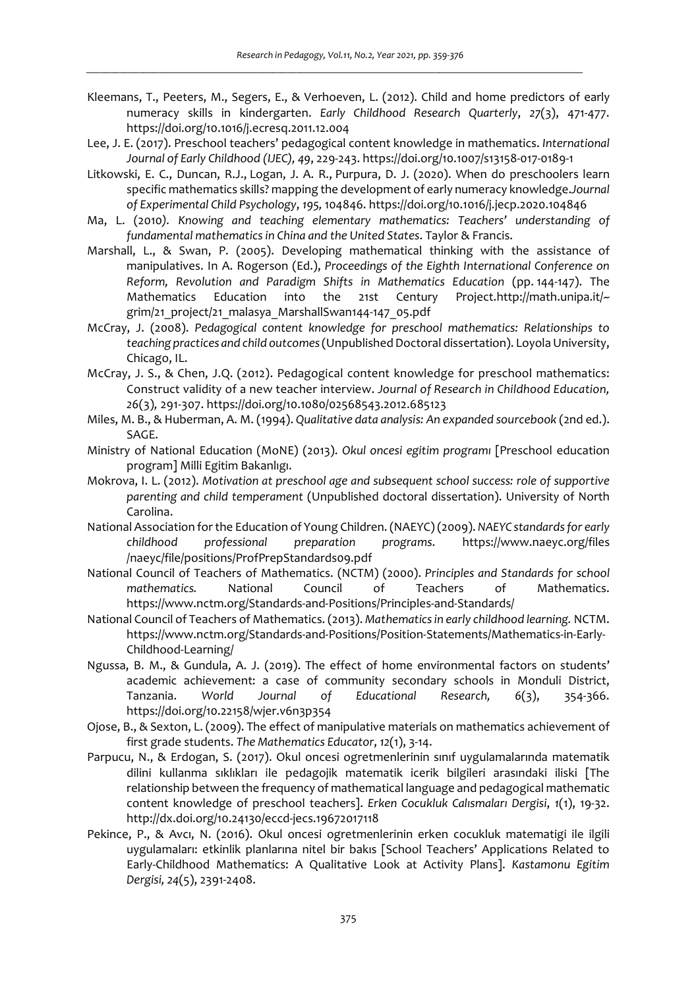- Kleemans, T., Peeters, M., Segers, E., & Verhoeven, L. (2012). Child and home predictors of early numeracy skills in kindergarten. *Early Childhood Research Quarterly*, *27*(3), 471-477. https://doi.org/10.1016/j.ecresq.2011.12.004
- Lee, J. E. (2017). Preschool teachers' pedagogical content knowledge in mathematics. *International Journal of Early Childhood (IJEC), 49*, 229-243. https://doi.org/10.1007/s13158-017-0189-1
- Litkowski, E. C., Duncan, R.J., Logan, J. A. R., Purpura, D. J. (2020). When do preschoolers learn specific mathematics skills? mapping the development of early numeracy knowledge.*Journal of Experimental Child Psychology*, *195,* 104846. https://doi.org/10.1016/j.jecp.2020.104846
- Ma, L. (2010*). Knowing and teaching elementary mathematics: Teachers' understanding of fundamental mathematics in China and the United States*. Taylor & Francis.
- Marshall, L., & Swan, P. (2005). Developing mathematical thinking with the assistance of manipulatives. In A. Rogerson (Ed.), *Proceedings of the Eighth International Conference on Reform, Revolution and Paradigm Shifts in Mathematics Education* (pp. 144-147). The Mathematics Education into the 21st Century Project.http://math.unipa.it/~ grim/21\_project/21\_malasya\_MarshallSwan144-147\_05.pdf
- McCray, J. (2008). *Pedagogical content knowledge for preschool mathematics: Relationships to teaching practices and child outcomes* (Unpublished Doctoral dissertation). Loyola University, Chicago, IL.
- McCray, J. S., & Chen, J.Q. (2012). Pedagogical content knowledge for preschool mathematics: Construct validity of a new teacher interview. *Journal of Research in Childhood Education, 26*(3)*,* 291-307. https://doi.org/10.1080/02568543.2012.685123
- Miles, M. B., & Huberman, A. M. (1994). *Qualitative data analysis: An expanded sourcebook* (2nd ed.). SAGE.
- Ministry of National Education (MoNE) (2013). *Okul oncesi egitim programı* [Preschool education program] Milli Egitim Bakanlıgı.
- Mokrova, I. L. (2012). *Motivation at preschool age and subsequent school success: role of supportive parenting and child temperament* (Unpublished doctoral dissertation). University of North Carolina.
- National Association for the Education of Young Children. (NAEYC) (2009). *NAEYC standards for early childhood professional preparation programs*. https://www.naeyc.org/files /naeyc/file/positions/ProfPrepStandards09.pdf
- National Council of Teachers of Mathematics. (NCTM) (2000). *Principles and Standards for school mathematics.* National Council of Teachers of Mathematics. https://www.nctm.org/Standards-and-Positions/Principles-and-Standards/
- National Council of Teachers of Mathematics. (2013). *Mathematics in early childhood learning.* NCTM. https://www.nctm.org/Standards-and-Positions/Position-Statements/Mathematics-in-Early-Childhood-Learning/
- Ngussa, B. M., & Gundula, A. J. (2019). The effect of home environmental factors on students' academic achievement: a case of community secondary schools in Monduli District, Tanzania. *World Journal of Educational Research, 6*(3), 354-366. https://doi.org/10.22158/wjer.v6n3p354
- Ojose, B., & Sexton, L. (2009). The effect of manipulative materials on mathematics achievement of first grade students. *The Mathematics Educator*, *12*(1), 3-14.
- Parpucu, N., & Erdogan, S. (2017). Okul oncesi ogretmenlerinin sınıf uygulamalarında matematik dilini kullanma sıklıkları ile pedagojik matematik icerik bilgileri arasındaki iliski [The relationship between the frequency of mathematical language and pedagogical mathematic content knowledge of preschool teachers]. *Erken Cocukluk Calısmaları Dergisi*, *1*(1), 19-32. http://dx.doi.org/10.24130/eccd-jecs.19672017118
- Pekince, P., & Avcı, N. (2016). Okul oncesi ogretmenlerinin erken cocukluk matematigi ile ilgili uygulamaları: etkinlik planlarına nitel bir bakıs [School Teachers' Applications Related to Early-Childhood Mathematics: A Qualitative Look at Activity Plans]. *Kastamonu Egitim Dergisi, 24*(5), 2391-2408.